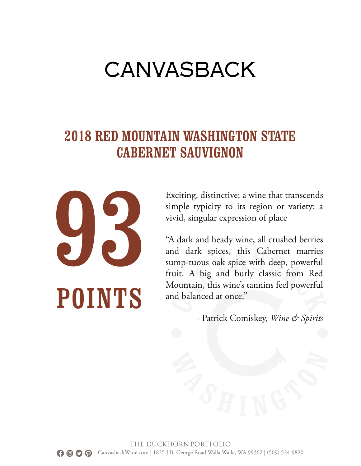#### 2018 RED MOUNTAIN WASHINGTON STATE CABERNET SAUVIGNON



Exciting, distinctive; a wine that transcends simple typicity to its region or variety; a vivid, singular expression of place

"A dark and heady wine, all crushed berries and dark spices, this Cabernet marries sump-tuous oak spice with deep, powerful fruit. A big and burly classic from Red Mountain, this wine's tannins feel powerful and balanced at once."

- Patrick Comiskey, *Wine & Spirits*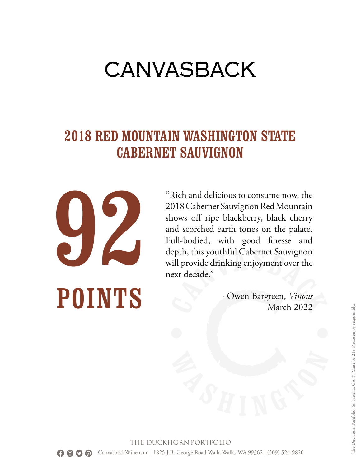#### 2018 RED MOUNTAIN WASHINGTON STATE CABERNET SAUVIGNON



"Rich and delicious to consume now, the 2018 Cabernet Sauvignon Red Mountain shows off ripe blackberry, black cherry and scorched earth tones on the palate. Full-bodied, with good finesse and depth, this youthful Cabernet Sauvignon will provide drinking enjoyment over the next decade."

> - Owen Bargreen, *Vinous* March 2022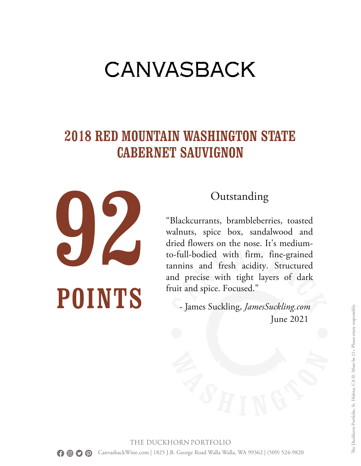#### 2018 RED MOUNTAIN WASHINGTON STATE CABERNET SAUVIGNON



#### Outstanding

"Blackcurrants, brambleberries, toasted walnuts, spice box, sandalwood and dried flowers on the nose. It's mediumto-full-bodied with firm, fine-grained tannins and fresh acidity. Structured and precise with tight layers of dark fruit and spice. Focused."

- James Suckling, *JamesSuckling.com* June 2021

THE DUCKHORN PORTFOLIO CanvasbackWine.com | 1825 J.B. George Road Walla Walla, WA 99362 | (509) 524-9820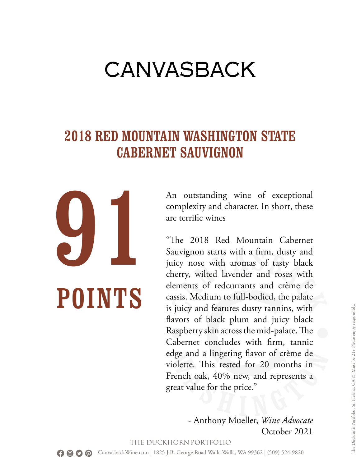#### 2018 RED MOUNTAIN WASHINGTON STATE CABERNET SAUVIGNON

91 POINTS

An outstanding wine of exceptional complexity and character. In short, these are terrific wines

"The 2018 Red Mountain Cabernet Sauvignon starts with a firm, dusty and juicy nose with aromas of tasty black cherry, wilted lavender and roses with elements of redcurrants and crème de cassis. Medium to full-bodied, the palate is juicy and features dusty tannins, with flavors of black plum and juicy black Raspberry skin across the mid-palate. The Cabernet concludes with firm, tannic edge and a lingering flavor of crème de violette. This rested for 20 months in French oak, 40% new, and represents a great value for the price."

> - Anthony Mueller, *Wine Advocate* October 2021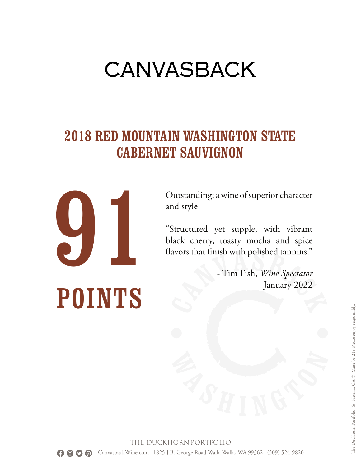#### 2018 RED MOUNTAIN WASHINGTON STATE CABERNET SAUVIGNON



Outstanding; a wine of superior character and style

"Structured yet supple, with vibrant black cherry, toasty mocha and spice flavors that finish with polished tannins."

> - Tim Fish, *Wine Spectator* January 2022